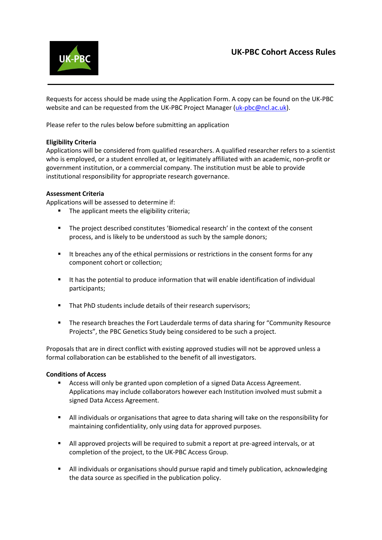# **UK-PBC Cohort Access Rules**



Requests for access should be made using the Application Form. A copy can be found on the UK-PBC website and can be requested from the UK-PBC Project Manager [\(uk-pbc@ncl.ac.uk\)](mailto:uk-pbc@ncl.ac.uk).

Please refer to the rules below before submitting an application

## **Eligibility Criteria**

Applications will be considered from qualified researchers. A qualified researcher refers to a scientist who is employed, or a student enrolled at, or legitimately affiliated with an academic, non-profit or government institution, or a commercial company. The institution must be able to provide institutional responsibility for appropriate research governance.

#### **Assessment Criteria**

Applications will be assessed to determine if:

- The applicant meets the eligibility criteria;
- The project described constitutes 'Biomedical research' in the context of the consent process, and is likely to be understood as such by the sample donors;
- It breaches any of the ethical permissions or restrictions in the consent forms for any component cohort or collection;
- It has the potential to produce information that will enable identification of individual participants;
- That PhD students include details of their research supervisors:
- The research breaches the Fort Lauderdale terms of data sharing for "Community Resource Projects", the PBC Genetics Study being considered to be such a project.

Proposals that are in direct conflict with existing approved studies will not be approved unless a formal collaboration can be established to the benefit of all investigators.

#### **Conditions of Access**

- Access will only be granted upon completion of a signed Data Access Agreement. Applications may include collaborators however each Institution involved must submit a signed Data Access Agreement.
- All individuals or organisations that agree to data sharing will take on the responsibility for maintaining confidentiality, only using data for approved purposes.
- All approved projects will be required to submit a report at pre-agreed intervals, or at completion of the project, to the UK-PBC Access Group.
- All individuals or organisations should pursue rapid and timely publication, acknowledging the data source as specified in the publication policy.